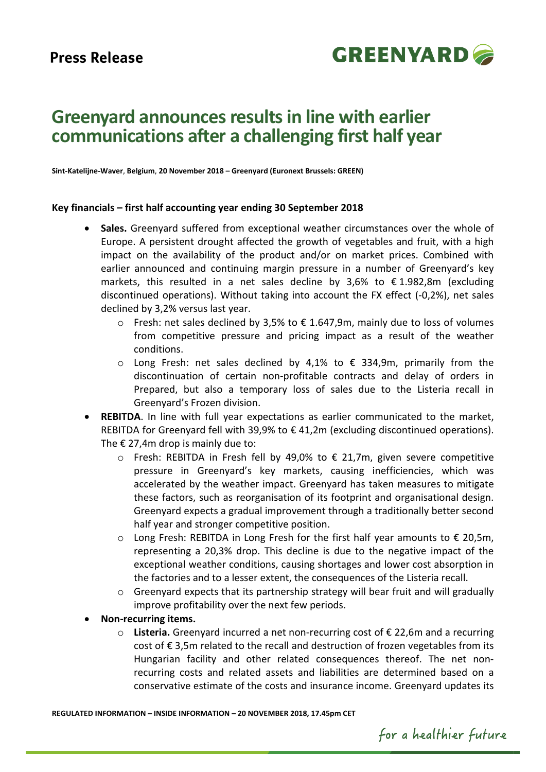

# **Greenyard announces results in line with earlier communications after a challenging first half year**

**Sint-Katelijne-Waver**, **Belgium**, **20 November 2018 – Greenyard (Euronext Brussels: GREEN)**

#### **Key financials – first half accounting year ending 30 September 2018**

- **Sales.** Greenyard suffered from exceptional weather circumstances over the whole of Europe. A persistent drought affected the growth of vegetables and fruit, with a high impact on the availability of the product and/or on market prices. Combined with earlier announced and continuing margin pressure in a number of Greenyard's key markets, this resulted in a net sales decline by 3,6% to € 1.982,8m (excluding discontinued operations). Without taking into account the FX effect (-0,2%), net sales declined by 3,2% versus last year.
	- o Fresh: net sales declined by 3,5% to  $\epsilon$  1.647,9m, mainly due to loss of volumes from competitive pressure and pricing impact as a result of the weather conditions.
	- $\circ$  Long Fresh: net sales declined by 4,1% to € 334,9m, primarily from the discontinuation of certain non-profitable contracts and delay of orders in Prepared, but also a temporary loss of sales due to the Listeria recall in Greenyard's Frozen division.
- **REBITDA.** In line with full year expectations as earlier communicated to the market. REBITDA for Greenyard fell with 39,9% to € 41,2m (excluding discontinued operations). The  $\epsilon$  27,4m drop is mainly due to:
	- $\circ$  Fresh: REBITDA in Fresh fell by 49,0% to € 21,7m, given severe competitive pressure in Greenyard's key markets, causing inefficiencies, which was accelerated by the weather impact. Greenyard has taken measures to mitigate these factors, such as reorganisation of its footprint and organisational design. Greenyard expects a gradual improvement through a traditionally better second half year and stronger competitive position.
	- o Long Fresh: REBITDA in Long Fresh for the first half year amounts to € 20,5m, representing a 20,3% drop. This decline is due to the negative impact of the exceptional weather conditions, causing shortages and lower cost absorption in the factories and to a lesser extent, the consequences of the Listeria recall.
	- $\circ$  Greenyard expects that its partnership strategy will bear fruit and will gradually improve profitability over the next few periods.
- **Non-recurring items.**
	- o **Listeria.** Greenyard incurred a net non-recurring cost of € 22,6m and a recurring cost of € 3,5m related to the recall and destruction of frozen vegetables from its Hungarian facility and other related consequences thereof. The net nonrecurring costs and related assets and liabilities are determined based on a conservative estimate of the costs and insurance income. Greenyard updates its

**REGULATED INFORMATION – INSIDE INFORMATION – 20 NOVEMBER 2018, 17.45pm CET**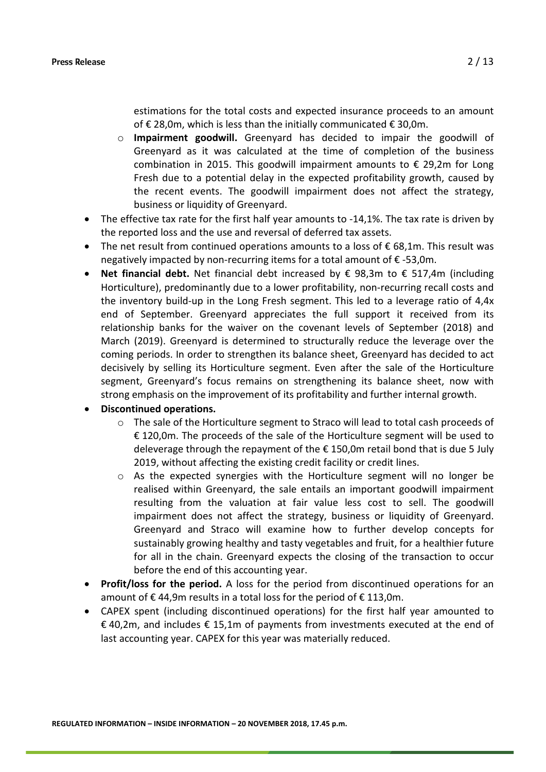estimations for the total costs and expected insurance proceeds to an amount of € 28,0m, which is less than the initially communicated  $\epsilon$  30,0m.

- o **Impairment goodwill.** Greenyard has decided to impair the goodwill of Greenyard as it was calculated at the time of completion of the business combination in 2015. This goodwill impairment amounts to  $\epsilon$  29,2m for Long Fresh due to a potential delay in the expected profitability growth, caused by the recent events. The goodwill impairment does not affect the strategy, business or liquidity of Greenyard.
- The effective tax rate for the first half year amounts to -14,1%. The tax rate is driven by the reported loss and the use and reversal of deferred tax assets.
- The net result from continued operations amounts to a loss of  $\epsilon$  68,1m. This result was negatively impacted by non-recurring items for a total amount of € -53,0m.
- **Net financial debt.** Net financial debt increased by € 98,3m to € 517,4m (including Horticulture), predominantly due to a lower profitability, non-recurring recall costs and the inventory build-up in the Long Fresh segment. This led to a leverage ratio of 4,4x end of September. Greenyard appreciates the full support it received from its relationship banks for the waiver on the covenant levels of September (2018) and March (2019). Greenyard is determined to structurally reduce the leverage over the coming periods. In order to strengthen its balance sheet, Greenyard has decided to act decisively by selling its Horticulture segment. Even after the sale of the Horticulture segment, Greenyard's focus remains on strengthening its balance sheet, now with strong emphasis on the improvement of its profitability and further internal growth.
- **Discontinued operations.**
	- $\circ$  The sale of the Horticulture segment to Straco will lead to total cash proceeds of € 120,0m. The proceeds of the sale of the Horticulture segment will be used to deleverage through the repayment of the € 150,0m retail bond that is due 5 July 2019, without affecting the existing credit facility or credit lines.
	- o As the expected synergies with the Horticulture segment will no longer be realised within Greenyard, the sale entails an important goodwill impairment resulting from the valuation at fair value less cost to sell. The goodwill impairment does not affect the strategy, business or liquidity of Greenyard. Greenyard and Straco will examine how to further develop concepts for sustainably growing healthy and tasty vegetables and fruit, for a healthier future for all in the chain. Greenyard expects the closing of the transaction to occur before the end of this accounting year.
- **Profit/loss for the period.** A loss for the period from discontinued operations for an amount of € 44,9m results in a total loss for the period of € 113,0m.
- CAPEX spent (including discontinued operations) for the first half year amounted to € 40,2m, and includes € 15,1m of payments from investments executed at the end of last accounting year. CAPEX for this year was materially reduced.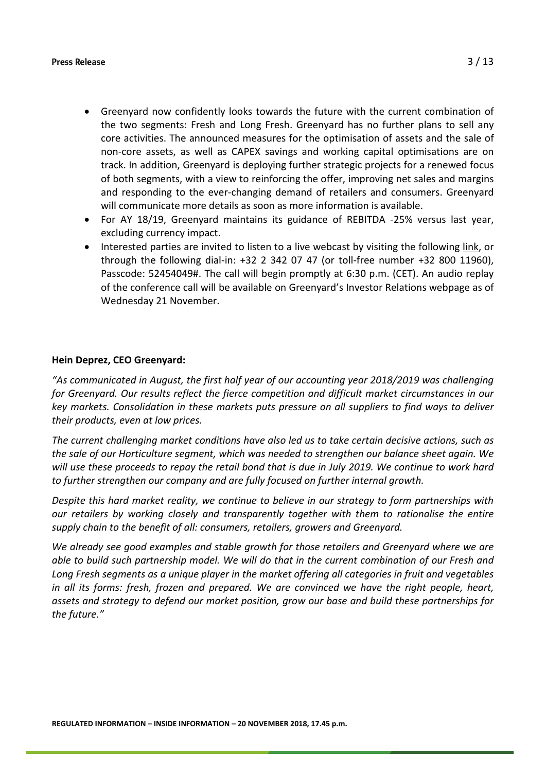- Greenyard now confidently looks towards the future with the current combination of the two segments: Fresh and Long Fresh. Greenyard has no further plans to sell any core activities. The announced measures for the optimisation of assets and the sale of non-core assets, as well as CAPEX savings and working capital optimisations are on track. In addition, Greenyard is deploying further strategic projects for a renewed focus of both segments, with a view to reinforcing the offer, improving net sales and margins and responding to the ever-changing demand of retailers and consumers. Greenyard will communicate more details as soon as more information is available.
- For AY 18/19, Greenyard maintains its guidance of REBITDA -25% versus last year, excluding currency impact.
- Interested parties are invited to listen to a live webcast by visiting the following [link,](https://emea01.safelinks.protection.outlook.com/?url=https%3A%2F%2Fglobalmeet.webcasts.com%2Fstarthere.jsp%3Fei%3D1221582%26tp_key%3D832981ff29&data=02%7C01%7Cdennis.duinslaeger%40greenyard.group%7C6333c2381087456e8d1508d64a4898fd%7Ccabe0ccd94464472b30b35f1cf67a05e%7C0%7C0%7C636778073005664594&sdata=jmU5ODJGG1DtIdewLFsF17X2oruLVRPbGZCsN0FS5CM%3D&reserved=0) or through the following dial-in: +32 2 342 07 47 (or toll-free number +32 800 11960), Passcode: 52454049#. The call will begin promptly at 6:30 p.m. (CET). An audio replay of the conference call will be available on Greenyard's Investor Relations webpage as of Wednesday 21 November.

# **Hein Deprez, CEO Greenyard:**

*"As communicated in August, the first half year of our accounting year 2018/2019 was challenging for Greenyard. Our results reflect the fierce competition and difficult market circumstances in our key markets. Consolidation in these markets puts pressure on all suppliers to find ways to deliver their products, even at low prices.* 

*The current challenging market conditions have also led us to take certain decisive actions, such as the sale of our Horticulture segment, which was needed to strengthen our balance sheet again. We will use these proceeds to repay the retail bond that is due in July 2019. We continue to work hard to further strengthen our company and are fully focused on further internal growth.* 

*Despite this hard market reality, we continue to believe in our strategy to form partnerships with our retailers by working closely and transparently together with them to rationalise the entire supply chain to the benefit of all: consumers, retailers, growers and Greenyard.* 

*We already see good examples and stable growth for those retailers and Greenyard where we are able to build such partnership model. We will do that in the current combination of our Fresh and Long Fresh segments as a unique player in the market offering all categories in fruit and vegetables in all its forms: fresh, frozen and prepared. We are convinced we have the right people, heart, assets and strategy to defend our market position, grow our base and build these partnerships for the future."*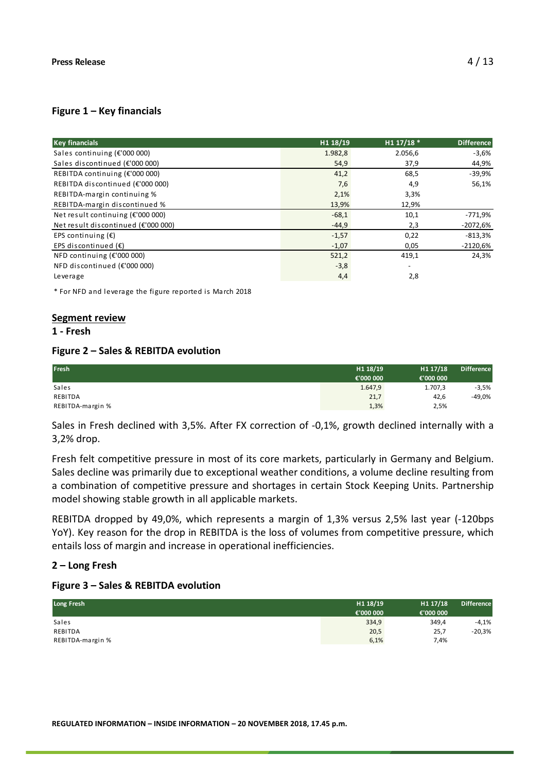## **Figure 1 – Key financials**

| <b>Key financials</b>               | H1 18/19 | H1 17/18 * | <b>Difference</b> |
|-------------------------------------|----------|------------|-------------------|
| Sales continuing $(E'000 000)$      | 1.982,8  | 2.056,6    | $-3,6%$           |
| Sales discontinued (€'000 000)      | 54,9     | 37,9       | 44,9%             |
| REBITDA continuing (€'000 000)      | 41,2     | 68,5       | $-39,9%$          |
| REBITDA discontinued (€'000 000)    | 7,6      | 4,9        | 56,1%             |
| REBITDA-margin continuing %         | 2,1%     | 3,3%       |                   |
| REBITDA-margin discontinued %       | 13,9%    | 12,9%      |                   |
| Net result continuing $(E'000 000)$ | $-68,1$  | 10,1       | $-771,9%$         |
| Net result discontinued (€'000 000) | $-44,9$  | 2,3        | $-2072,6%$        |
| EPS continuing $(\epsilon)$         | $-1,57$  | 0,22       | $-813,3%$         |
| EPS discontinued $(E)$              | $-1,07$  | 0,05       | $-2120,6%$        |
| NFD continuing $(E'000 000)$        | 521,2    | 419,1      | 24,3%             |
| NFD discontinued $(E'000 000)$      | $-3,8$   |            |                   |
| Leverage                            | 4,4      | 2,8        |                   |

\* For NFD and leverage the figure reported is March 2018

#### **Segment review**

#### **1 - Fresh**

#### **Figure 2 – Sales & REBITDA evolution**

| Fresh            | H1 18/19  | H1 17/18  | <b>Difference</b> |
|------------------|-----------|-----------|-------------------|
|                  | €'000 000 | €'000 000 |                   |
| Sales            | 1.647,9   | 1.707,3   | $-3,5%$           |
| REBITDA          | 21,7      | 42,6      | -49,0%            |
| REBITDA-margin % | 1,3%      | 2,5%      |                   |

Sales in Fresh declined with 3,5%. After FX correction of -0,1%, growth declined internally with a 3,2% drop.

Fresh felt competitive pressure in most of its core markets, particularly in Germany and Belgium. Sales decline was primarily due to exceptional weather conditions, a volume decline resulting from a combination of competitive pressure and shortages in certain Stock Keeping Units. Partnership model showing stable growth in all applicable markets.

REBITDA dropped by 49,0%, which represents a margin of 1,3% versus 2,5% last year (-120bps YoY). Key reason for the drop in REBITDA is the loss of volumes from competitive pressure, which entails loss of margin and increase in operational inefficiencies.

# **2 – Long Fresh**

#### **Figure 3 – Sales & REBITDA evolution**

| Long Fresh       | H1 18/19  | H1 17/18  | <b>Difference</b> |
|------------------|-----------|-----------|-------------------|
|                  | €'000 000 | €'000 000 |                   |
| Sales            | 334,9     | 349,4     | $-4,1%$           |
| REBITDA          | 20,5      | 25,7      | $-20,3%$          |
| REBITDA-margin % | 6,1%      | 7,4%      |                   |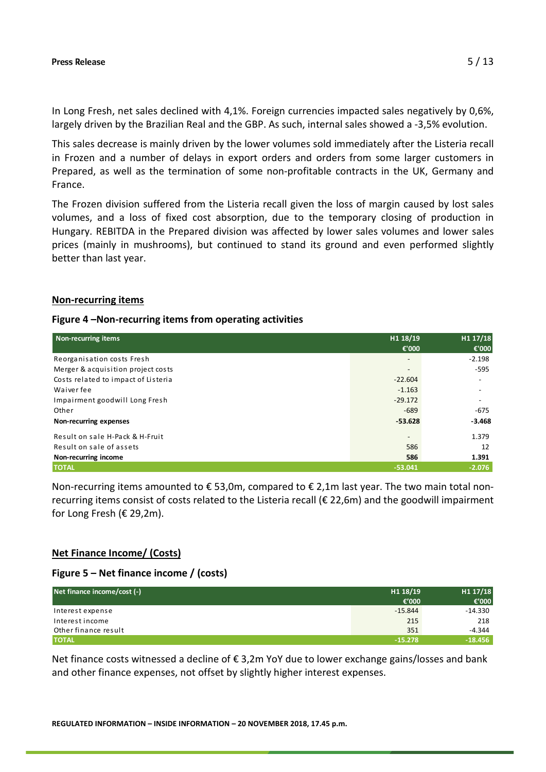In Long Fresh, net sales declined with 4,1%. Foreign currencies impacted sales negatively by 0,6%, largely driven by the Brazilian Real and the GBP. As such, internal sales showed a -3,5% evolution.

This sales decrease is mainly driven by the lower volumes sold immediately after the Listeria recall in Frozen and a number of delays in export orders and orders from some larger customers in Prepared, as well as the termination of some non-profitable contracts in the UK, Germany and France.

The Frozen division suffered from the Listeria recall given the loss of margin caused by lost sales volumes, and a loss of fixed cost absorption, due to the temporary closing of production in Hungary. REBITDA in the Prepared division was affected by lower sales volumes and lower sales prices (mainly in mushrooms), but continued to stand its ground and even performed slightly better than last year.

#### **Non-recurring items**

#### **Figure 4 –Non-recurring items from operating activities**

| <b>Non-recurring items</b>          | H1 18/19                 | H1 17/18                 |
|-------------------------------------|--------------------------|--------------------------|
|                                     | €'000                    | €'000                    |
| Reorganisation costs Fresh          | $\overline{\phantom{a}}$ | $-2.198$                 |
| Merger & acquisition project costs  | $\overline{\phantom{a}}$ | $-595$                   |
| Costs related to impact of Listeria | $-22.604$                |                          |
| Waiver fee                          | $-1.163$                 | $\overline{\phantom{a}}$ |
| Impairment goodwill Long Fresh      | $-29.172$                |                          |
| Other                               | $-689$                   | $-675$                   |
| Non-recurring expenses              | $-53.628$                | $-3.468$                 |
| Result on sale H-Pack & H-Fruit     | $\overline{\phantom{a}}$ | 1.379                    |
| Result on sale of assets            | 586                      | 12                       |
| Non-recurring income                | 586                      | 1.391                    |
| <b>TOTAL</b>                        | $-53.041$                | $-2.076$                 |

Non-recurring items amounted to €53,0m, compared to €2,1m last year. The two main total nonrecurring items consist of costs related to the Listeria recall (€ 22,6m) and the goodwill impairment for Long Fresh ( $E$  29,2m).

#### **Net Finance Income/ (Costs)**

#### **Figure 5 – Net finance income / (costs)**

| Net finance income/cost (-) | H1 18/19  | H1 17/18  |
|-----------------------------|-----------|-----------|
|                             | €'000     | € $'000$  |
| Interest expense            | $-15.844$ | $-14.330$ |
| Interest income             | 215       | 218       |
| Other finance result        | 351       | $-4.344$  |
| <b>TOTAL</b>                | $-15.278$ | $-18.456$ |

Net finance costs witnessed a decline of € 3,2m YoY due to lower exchange gains/losses and bank and other finance expenses, not offset by slightly higher interest expenses.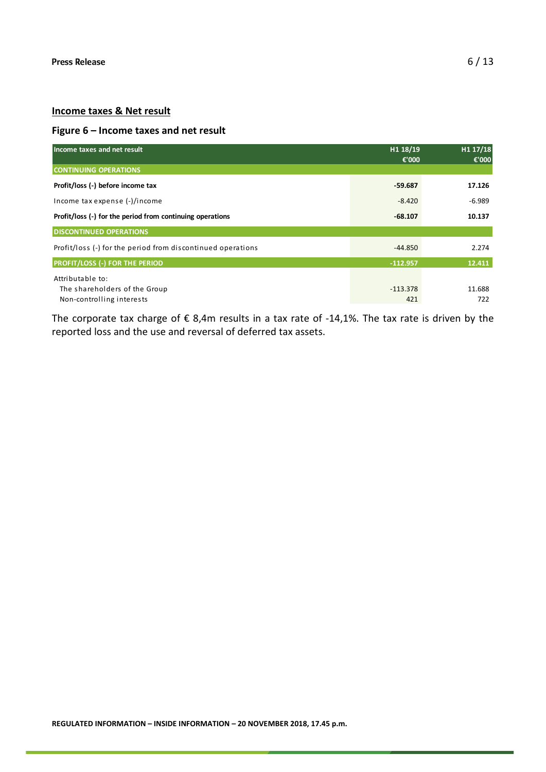# **Income taxes & Net result**

# **Figure 6 – Income taxes and net result**

| Income taxes and net result                                 | H1 18/19<br>€'000 | H1 17/18<br>€'000 |
|-------------------------------------------------------------|-------------------|-------------------|
| <b>CONTINUING OPERATIONS</b>                                |                   |                   |
| Profit/loss (-) before income tax                           | -59.687           | 17.126            |
| Income tax expense (-)/income                               | $-8.420$          | $-6.989$          |
| Profit/loss (-) for the period from continuing operations   | $-68.107$         | 10.137            |
| <b>DISCONTINUED OPERATIONS</b>                              |                   |                   |
| Profit/loss (-) for the period from discontinued operations | $-44.850$         | 2.274             |
| <b>PROFIT/LOSS (-) FOR THE PERIOD</b>                       | $-112.957$        | 12.411            |
| Attributable to:                                            |                   |                   |
| The shareholders of the Group                               | $-113.378$        | 11.688            |
| Non-controlling interests                                   | 421               | 722               |

The corporate tax charge of  $\epsilon$  8,4m results in a tax rate of -14,1%. The tax rate is driven by the reported loss and the use and reversal of deferred tax assets.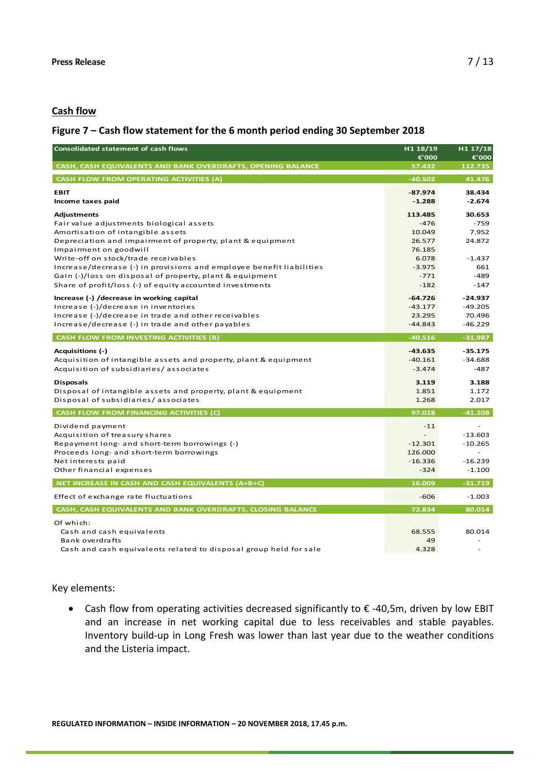# **Cash flow**

# **Figure 7 – Cash flow statement for the 6 month period ending 30 September 2018**

| <b>Consolidated statement of cash flows</b>                                                                                                                                                                                                                                                                                                                             |                                                                                | H1 17/18<br>€'000                                              |  |
|-------------------------------------------------------------------------------------------------------------------------------------------------------------------------------------------------------------------------------------------------------------------------------------------------------------------------------------------------------------------------|--------------------------------------------------------------------------------|----------------------------------------------------------------|--|
| CASH, CASH EQUIVALENTS AND BANK OVERDRAFTS, OPENING BALANCE                                                                                                                                                                                                                                                                                                             | 57.432                                                                         | 112.735                                                        |  |
| <b>CASH FLOW FROM OPERATING ACTIVITIES (A)</b>                                                                                                                                                                                                                                                                                                                          | $-40.502$                                                                      | 41.476                                                         |  |
| <b>EBIT</b><br>Income taxes paid                                                                                                                                                                                                                                                                                                                                        | $-87.974$<br>$-1.288$                                                          | 38.434<br>$-2.674$                                             |  |
| <b>Adjustments</b><br>Fair value adjustments biological assets<br>Amortisation of intangible assets<br>Depreciation and impairment of property, plant & equipment<br>Impairment on goodwill<br>Write-off on stock/trade receivables<br>Increase/decrease (-) in provisions and employee benefit liabilities<br>Gain (-)/loss on disposal of property, plant & equipment | 113.485<br>$-476$<br>10.049<br>26.577<br>76.185<br>6.078<br>$-3.975$<br>$-771$ | 30.653<br>$-759$<br>7.952<br>24.872<br>$-1.437$<br>661<br>-489 |  |
| Share of profit/loss (-) of equity accounted investments<br>Increase (-) / decrease in working capital<br>Increase (-)/decrease in inventories<br>Increase (-)/decrease in trade and other receivables<br>Increase/decrease (-) in trade and other payables                                                                                                             | $-182$<br>$-64.726$<br>$-43.177$<br>23.295<br>$-44.843$                        | -147<br>$-24.937$<br>$-49.205$<br>70.496<br>$-46.229$          |  |
| <b>CASH FLOW FROM INVESTING ACTIVITIES (B)</b>                                                                                                                                                                                                                                                                                                                          | $-40.516$                                                                      | $-31.987$                                                      |  |
| Acquisitions (-)<br>Acquisition of intangible assets and property, plant & equipment<br>Acquisition of subsidiaries/associates<br><b>Disposals</b><br>Disposal of intangible assets and property, plant & equipment                                                                                                                                                     | $-43.635$<br>$-40.161$<br>$-3.474$<br>3.119<br>1.851                           | $-35.175$<br>$-34.688$<br>-487<br>3.188<br>1.172               |  |
| Disposal of subsidiaries/associates                                                                                                                                                                                                                                                                                                                                     | 1.268                                                                          | 2.017                                                          |  |
| <b>CASH FLOW FROM FINANCING ACTIVITIES (C)</b>                                                                                                                                                                                                                                                                                                                          | 97.028                                                                         | $-41.208$                                                      |  |
| Dividend payment<br>Acquisition of treasury shares<br>Repayment long- and short-term borrowings (-)<br>Proceeds long- and short-term borrowings<br>Net interests paid<br>Other financial expenses                                                                                                                                                                       | $-11$<br>$-12.301$<br>126.000<br>$-16.336$<br>$-324$                           | $-13.603$<br>$-10.265$<br>$-16.239$<br>$-1.100$                |  |
| NET INCREASE IN CASH AND CASH EQUIVALENTS (A+B+C)                                                                                                                                                                                                                                                                                                                       | 16.009                                                                         | $-31.719$                                                      |  |
| Effect of exchange rate fluctuations                                                                                                                                                                                                                                                                                                                                    | $-606$                                                                         | $-1.003$                                                       |  |
| CASH, CASH EQUIVALENTS AND BANK OVERDRAFTS, CLOSING BALANCE                                                                                                                                                                                                                                                                                                             | 72.834                                                                         | 80.014                                                         |  |
| Of which:<br>Cash and cash equivalents<br>Bank overdrafts<br>Cash and cash equivalents related to disposal group held for sale                                                                                                                                                                                                                                          | 68.555<br>49<br>4.328                                                          | 80.014                                                         |  |

#### Key elements:

• Cash flow from operating activities decreased significantly to € -40,5m, driven by low EBIT and an increase in net working capital due to less receivables and stable payables. Inventory build-up in Long Fresh was lower than last year due to the weather conditions and the Listeria impact.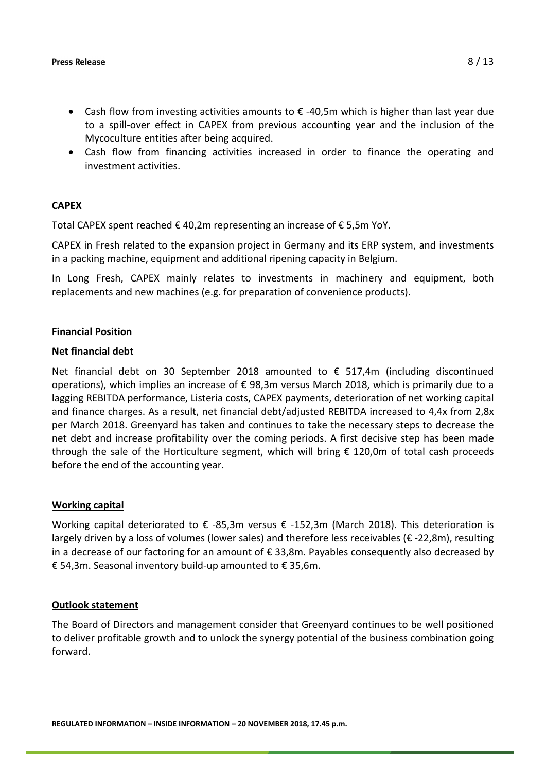- Cash flow from investing activities amounts to € -40,5m which is higher than last year due to a spill-over effect in CAPEX from previous accounting year and the inclusion of the Mycoculture entities after being acquired.
- Cash flow from financing activities increased in order to finance the operating and investment activities.

# **CAPEX**

Total CAPEX spent reached € 40,2m representing an increase of € 5,5m YoY.

CAPEX in Fresh related to the expansion project in Germany and its ERP system, and investments in a packing machine, equipment and additional ripening capacity in Belgium.

In Long Fresh, CAPEX mainly relates to investments in machinery and equipment, both replacements and new machines (e.g. for preparation of convenience products).

# **Financial Position**

#### **Net financial debt**

Net financial debt on 30 September 2018 amounted to € 517,4m (including discontinued operations), which implies an increase of € 98,3m versus March 2018, which is primarily due to a lagging REBITDA performance, Listeria costs, CAPEX payments, deterioration of net working capital and finance charges. As a result, net financial debt/adjusted REBITDA increased to 4,4x from 2,8x per March 2018. Greenyard has taken and continues to take the necessary steps to decrease the net debt and increase profitability over the coming periods. A first decisive step has been made through the sale of the Horticulture segment, which will bring  $\epsilon$  120,0m of total cash proceeds before the end of the accounting year.

# **Working capital**

Working capital deteriorated to € -85,3m versus € -152,3m (March 2018). This deterioration is largely driven by a loss of volumes (lower sales) and therefore less receivables (€ -22,8m), resulting in a decrease of our factoring for an amount of  $\epsilon$  33,8m. Payables consequently also decreased by € 54,3m. Seasonal inventory build-up amounted to € 35,6m.

#### **Outlook statement**

The Board of Directors and management consider that Greenyard continues to be well positioned to deliver profitable growth and to unlock the synergy potential of the business combination going forward.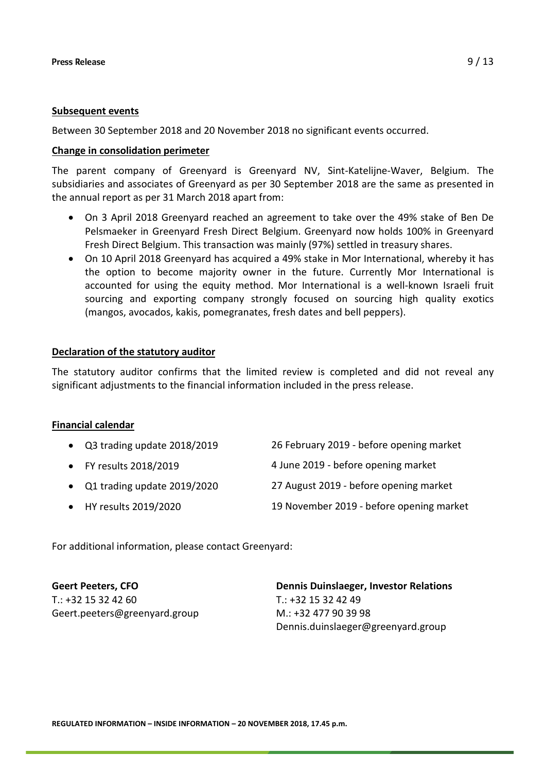## **Subsequent events**

Between 30 September 2018 and 20 November 2018 no significant events occurred.

# **Change in consolidation perimeter**

The parent company of Greenyard is Greenyard NV, Sint-Katelijne-Waver, Belgium. The subsidiaries and associates of Greenyard as per 30 September 2018 are the same as presented in the annual report as per 31 March 2018 apart from:

- On 3 April 2018 Greenyard reached an agreement to take over the 49% stake of Ben De Pelsmaeker in Greenyard Fresh Direct Belgium. Greenyard now holds 100% in Greenyard Fresh Direct Belgium. This transaction was mainly (97%) settled in treasury shares.
- On 10 April 2018 Greenyard has acquired a 49% stake in Mor International, whereby it has the option to become majority owner in the future. Currently Mor International is accounted for using the equity method. Mor International is a well-known Israeli fruit sourcing and exporting company strongly focused on sourcing high quality exotics (mangos, avocados, kakis, pomegranates, fresh dates and bell peppers).

# **Declaration of the statutory auditor**

The statutory auditor confirms that the limited review is completed and did not reveal any significant adjustments to the financial information included in the press release.

# **Financial calendar**

| • Q3 trading update 2018/2019 | 26 February 2019 - before opening market |
|-------------------------------|------------------------------------------|
| • FY results 2018/2019        | 4 June 2019 - before opening market      |
| • Q1 trading update 2019/2020 | 27 August 2019 - before opening market   |
| • HY results 2019/2020        | 19 November 2019 - before opening market |

For additional information, please contact Greenyard:

**Geert Peeters, CFO**  $T.: +3215324260$ Geert.peeters@greenyard.group **Dennis Duinslaeger, Investor Relations**   $T: +32$  15 32 42 49 M.: +32 477 90 39 98 Dennis.duinslaeger@greenyard.group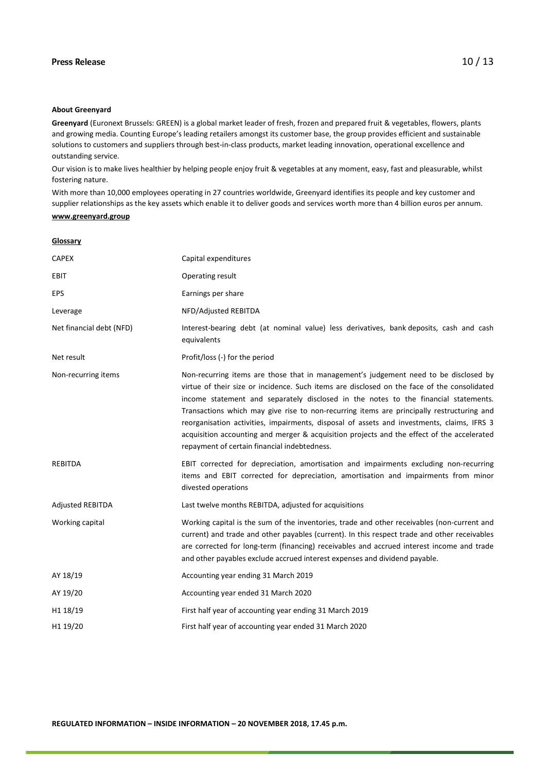#### Press Release  $10/13$

#### **About Greenyard**

**Greenyard** (Euronext Brussels: GREEN) is a global market leader of fresh, frozen and prepared fruit & vegetables, flowers, plants and growing media. Counting Europe's leading retailers amongst its customer base, the group provides efficient and sustainable solutions to customers and suppliers through best-in-class products, market leading innovation, operational excellence and outstanding service.

Our vision is to make lives healthier by helping people enjoy fruit & vegetables at any moment, easy, fast and pleasurable, whilst fostering nature.

With more than 10,000 employees operating in 27 countries worldwide, Greenyard identifies its people and key customer and supplier relationships as the key assets which enable it to deliver goods and services worth more than 4 billion euros per annum.

#### **[www.greenyard.group](http://www.greenyard.group/)**

**Glossary**

| <b>CAPEX</b>             | Capital expenditures                                                                                                                                                                                                                                                                                                                                                                                                                                                                                                                                                                                                |
|--------------------------|---------------------------------------------------------------------------------------------------------------------------------------------------------------------------------------------------------------------------------------------------------------------------------------------------------------------------------------------------------------------------------------------------------------------------------------------------------------------------------------------------------------------------------------------------------------------------------------------------------------------|
| EBIT                     | Operating result                                                                                                                                                                                                                                                                                                                                                                                                                                                                                                                                                                                                    |
| EPS                      | Earnings per share                                                                                                                                                                                                                                                                                                                                                                                                                                                                                                                                                                                                  |
| Leverage                 | NFD/Adjusted REBITDA                                                                                                                                                                                                                                                                                                                                                                                                                                                                                                                                                                                                |
| Net financial debt (NFD) | Interest-bearing debt (at nominal value) less derivatives, bank deposits, cash and cash<br>equivalents                                                                                                                                                                                                                                                                                                                                                                                                                                                                                                              |
| Net result               | Profit/loss (-) for the period                                                                                                                                                                                                                                                                                                                                                                                                                                                                                                                                                                                      |
| Non-recurring items      | Non-recurring items are those that in management's judgement need to be disclosed by<br>virtue of their size or incidence. Such items are disclosed on the face of the consolidated<br>income statement and separately disclosed in the notes to the financial statements.<br>Transactions which may give rise to non-recurring items are principally restructuring and<br>reorganisation activities, impairments, disposal of assets and investments, claims, IFRS 3<br>acquisition accounting and merger & acquisition projects and the effect of the accelerated<br>repayment of certain financial indebtedness. |
| <b>REBITDA</b>           | EBIT corrected for depreciation, amortisation and impairments excluding non-recurring<br>items and EBIT corrected for depreciation, amortisation and impairments from minor<br>divested operations                                                                                                                                                                                                                                                                                                                                                                                                                  |
| <b>Adjusted REBITDA</b>  | Last twelve months REBITDA, adjusted for acquisitions                                                                                                                                                                                                                                                                                                                                                                                                                                                                                                                                                               |
| Working capital          | Working capital is the sum of the inventories, trade and other receivables (non-current and<br>current) and trade and other payables (current). In this respect trade and other receivables<br>are corrected for long-term (financing) receivables and accrued interest income and trade<br>and other payables exclude accrued interest expenses and dividend payable.                                                                                                                                                                                                                                              |
| AY 18/19                 | Accounting year ending 31 March 2019                                                                                                                                                                                                                                                                                                                                                                                                                                                                                                                                                                                |
| AY 19/20                 | Accounting year ended 31 March 2020                                                                                                                                                                                                                                                                                                                                                                                                                                                                                                                                                                                 |
| H1 18/19                 | First half year of accounting year ending 31 March 2019                                                                                                                                                                                                                                                                                                                                                                                                                                                                                                                                                             |
| H <sub>1</sub> 19/20     | First half year of accounting year ended 31 March 2020                                                                                                                                                                                                                                                                                                                                                                                                                                                                                                                                                              |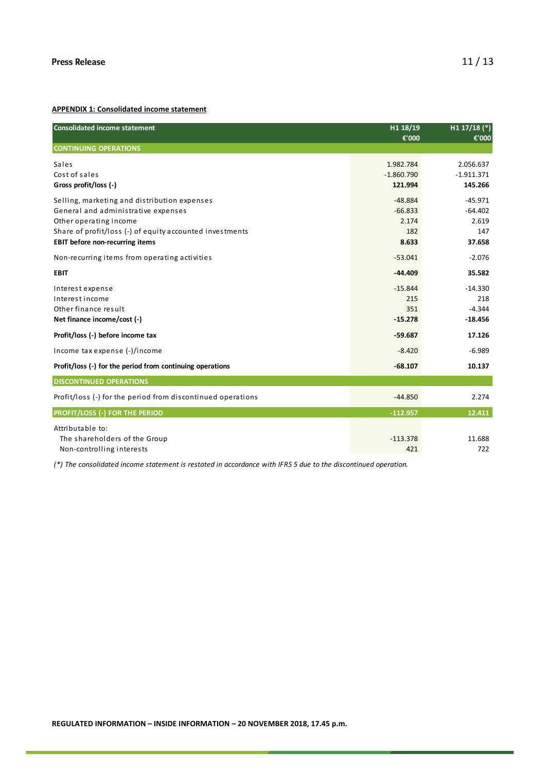#### **APPENDIX 1: Consolidated income statement**

| <b>Consolidated income statement</b>                        | H1 18/19     | H1 $17/18$ (*) |
|-------------------------------------------------------------|--------------|----------------|
|                                                             | €'000        | €'000          |
| <b>CONTINUING OPERATIONS</b>                                |              |                |
| Sales                                                       | 1.982.784    | 2.056.637      |
| Cost of sales                                               | $-1.860.790$ | $-1.911.371$   |
| Gross profit/loss (-)                                       | 121.994      | 145.266        |
| Selling, marketing and distribution expenses                | $-48.884$    | $-45.971$      |
| General and administrative expenses                         | $-66.833$    | $-64.402$      |
| Other operating income                                      | 2.174        | 2.619          |
| Share of profit/loss (-) of equity accounted investments    | 182          | 147            |
| <b>EBIT before non-recurring items</b>                      | 8.633        | 37.658         |
| Non-recurring items from operating activities               | $-53.041$    | $-2.076$       |
| <b>EBIT</b>                                                 | $-44.409$    | 35.582         |
| Interest expense                                            | $-15.844$    | $-14.330$      |
| Interest income                                             | 215          | 218            |
| Other finance result                                        | 351          | $-4.344$       |
| Net finance income/cost (-)                                 | $-15.278$    | $-18.456$      |
| Profit/loss (-) before income tax                           | $-59.687$    | 17.126         |
| Income tax expense (-)/income                               | $-8.420$     | $-6.989$       |
| Profit/loss (-) for the period from continuing operations   | $-68.107$    | 10.137         |
| <b>DISCONTINUED OPERATIONS</b>                              |              |                |
| Profit/loss (-) for the period from discontinued operations | $-44.850$    | 2.274          |
| <b>PROFIT/LOSS (-) FOR THE PERIOD</b>                       | $-112.957$   | 12.411         |
| Attributable to:                                            |              |                |
| The shareholders of the Group                               | $-113.378$   | 11.688         |
| Non-controlling interests                                   | 421          | 722            |
|                                                             |              |                |

*(\*) The consolidated income statement is restated in accordance with IFRS 5 due to the discontinued operation.*

**REGULATED INFORMATION – INSIDE INFORMATION – 20 NOVEMBER 2018, 17.45 p.m.**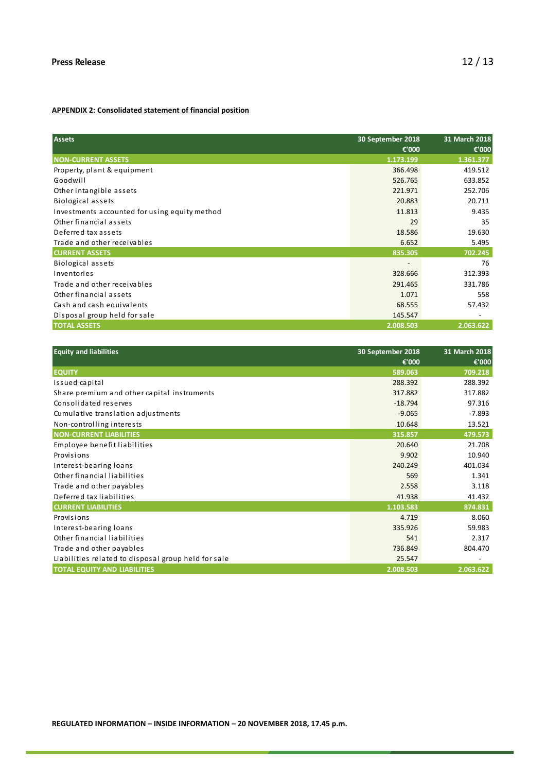#### **APPENDIX 2: Consolidated statement of financial position**

| <b>Assets</b>                                 | 30 September 2018 | 31 March 2018 |
|-----------------------------------------------|-------------------|---------------|
|                                               | €'000             | €'000         |
| <b>NON-CURRENT ASSETS</b>                     | 1.173.199         | 1.361.377     |
| Property, plant & equipment                   | 366.498           | 419.512       |
| Goodwill                                      | 526.765           | 633.852       |
| Other intangible assets                       | 221.971           | 252.706       |
| Biological assets                             | 20.883            | 20.711        |
| Investments accounted for using equity method | 11.813            | 9.435         |
| Other financial assets                        | 29                | 35            |
| Deferred tax assets                           | 18.586            | 19.630        |
| Trade and other receivables                   | 6.652             | 5.495         |
| <b>CURRENT ASSETS</b>                         | 835.305           | 702.245       |
| Biological assets                             | ٠                 | 76            |
| Inventories                                   | 328.666           | 312.393       |
| Trade and other receivables                   | 291.465           | 331.786       |
| Other financial assets                        | 1.071             | 558           |
| Cash and cash equivalents                     | 68.555            | 57.432        |
| Disposal group held for sale                  | 145.547           |               |
| <b>TOTAL ASSETS</b>                           | 2.008.503         | 2.063.622     |

| <b>Equity and liabilities</b>                       | 30 September 2018 | 31 March 2018 |
|-----------------------------------------------------|-------------------|---------------|
|                                                     | €'000             | €'000         |
| <b>EQUITY</b>                                       | 589.063           | 709.218       |
| Issued capital                                      | 288.392           | 288.392       |
| Share premium and other capital instruments         | 317.882           | 317.882       |
| Consolidated reserves                               | $-18.794$         | 97.316        |
| Cumulative translation adjustments                  | $-9.065$          | $-7.893$      |
| Non-controlling interests                           | 10.648            | 13.521        |
| <b>NON-CURRENT LIABILITIES</b>                      | 315.857           | 479.573       |
| Employee benefit liabilities                        | 20.640            | 21.708        |
| Provisions                                          | 9.902             | 10.940        |
| Interest-bearing loans                              | 240.249           | 401.034       |
| Other financial liabilities                         | 569               | 1.341         |
| Trade and other payables                            | 2.558             | 3.118         |
| Deferred tax liabilities                            | 41.938            | 41.432        |
| <b>CURRENT LIABILITIES</b>                          | 1.103.583         | 874.831       |
| Provisions                                          | 4.719             | 8.060         |
| Interest-bearing loans                              | 335.926           | 59.983        |
| Other financial liabilities                         | 541               | 2.317         |
| Trade and other payables                            | 736.849           | 804.470       |
| Liabilities related to disposal group held for sale | 25.547            |               |
| <b>TOTAL EQUITY AND LIABILITIES</b>                 | 2.008.503         | 2.063.622     |

**REGULATED INFORMATION – INSIDE INFORMATION – 20 NOVEMBER 2018, 17.45 p.m.**

r